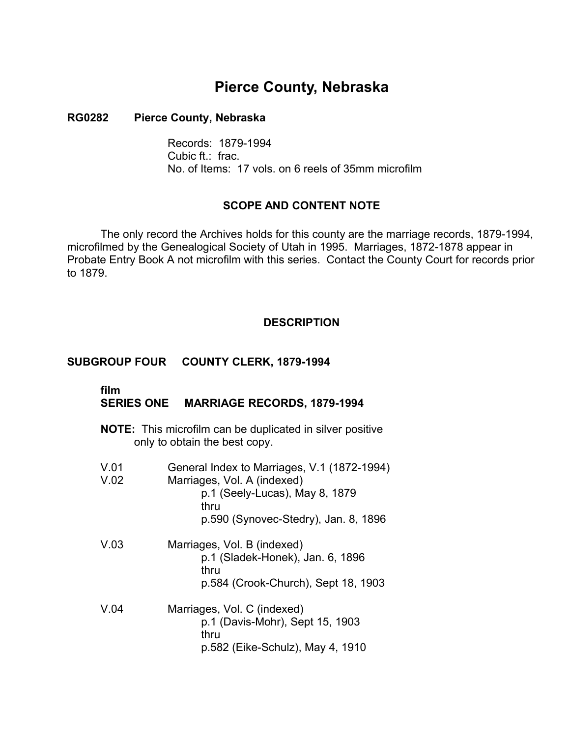# **Pierce County, Nebraska**

### **RG0282 Pierce County, Nebraska**

Records: 1879-1994 Cubic ft.: frac. No. of Items: 17 vols. on 6 reels of 35mm microfilm

## **SCOPE AND CONTENT NOTE**

The only record the Archives holds for this county are the marriage records, 1879-1994, microfilmed by the Genealogical Society of Utah in 1995. Marriages, 1872-1878 appear in Probate Entry Book A not microfilm with this series. Contact the County Court for records prior to 1879.

## **DESCRIPTION**

## **SUBGROUP FOUR COUNTY CLERK, 1879-1994**

#### **film** �

# **SERIES ONE MARRIAGE RECORDS, 1879-1994**

**NOTE:** This microfilm can be duplicated in silver positive only to obtain the best copy.

| V.01<br>V.02 | General Index to Marriages, V.1 (1872-1994)<br>Marriages, Vol. A (indexed)<br>p.1 (Seely-Lucas), May 8, 1879<br>thru<br>p.590 (Synovec-Stedry), Jan. 8, 1896 |
|--------------|--------------------------------------------------------------------------------------------------------------------------------------------------------------|
| V.03         | Marriages, Vol. B (indexed)<br>p.1 (Sladek-Honek), Jan. 6, 1896<br>thru<br>p.584 (Crook-Church), Sept 18, 1903                                               |
| V.04         | Marriages, Vol. C (indexed)<br>p.1 (Davis-Mohr), Sept 15, 1903<br>thru<br>p.582 (Eike-Schulz), May 4, 1910                                                   |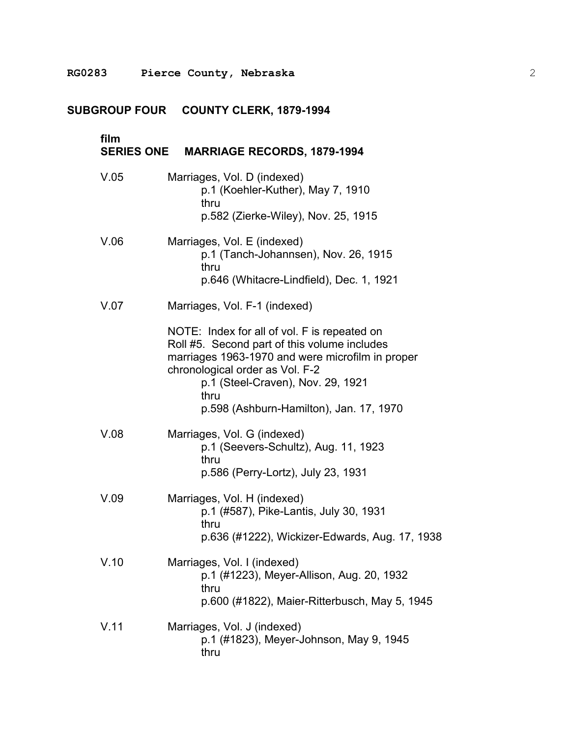# **SUBGROUP FOUR COUNTY CLERK, 1879-1994**

| film | SERIES ONE MARRIAGE RECORDS, 1879-1994                                                                                                                                                                                                                                      |
|------|-----------------------------------------------------------------------------------------------------------------------------------------------------------------------------------------------------------------------------------------------------------------------------|
| V.05 | Marriages, Vol. D (indexed)<br>p.1 (Koehler-Kuther), May 7, 1910<br>thru<br>p.582 (Zierke-Wiley), Nov. 25, 1915                                                                                                                                                             |
| V.06 | Marriages, Vol. E (indexed)<br>p.1 (Tanch-Johannsen), Nov. 26, 1915<br>thru<br>p.646 (Whitacre-Lindfield), Dec. 1, 1921                                                                                                                                                     |
| V.07 | Marriages, Vol. F-1 (indexed)                                                                                                                                                                                                                                               |
|      | NOTE: Index for all of vol. F is repeated on<br>Roll #5. Second part of this volume includes<br>marriages 1963-1970 and were microfilm in proper<br>chronological order as Vol. F-2<br>p.1 (Steel-Craven), Nov. 29, 1921<br>thru<br>p.598 (Ashburn-Hamilton), Jan. 17, 1970 |
| V.08 | Marriages, Vol. G (indexed)<br>p.1 (Seevers-Schultz), Aug. 11, 1923<br>thru<br>p.586 (Perry-Lortz), July 23, 1931                                                                                                                                                           |
| V.09 | Marriages, Vol. H (indexed)<br>p.1 (#587), Pike-Lantis, July 30, 1931<br>thru<br>p.636 (#1222), Wickizer-Edwards, Aug. 17, 1938                                                                                                                                             |
| V.10 | Marriages, Vol. I (indexed)<br>p.1 (#1223), Meyer-Allison, Aug. 20, 1932<br>thru<br>p.600 (#1822), Maier-Ritterbusch, May 5, 1945                                                                                                                                           |
| V.11 | Marriages, Vol. J (indexed)<br>p.1 (#1823), Meyer-Johnson, May 9, 1945<br>thru                                                                                                                                                                                              |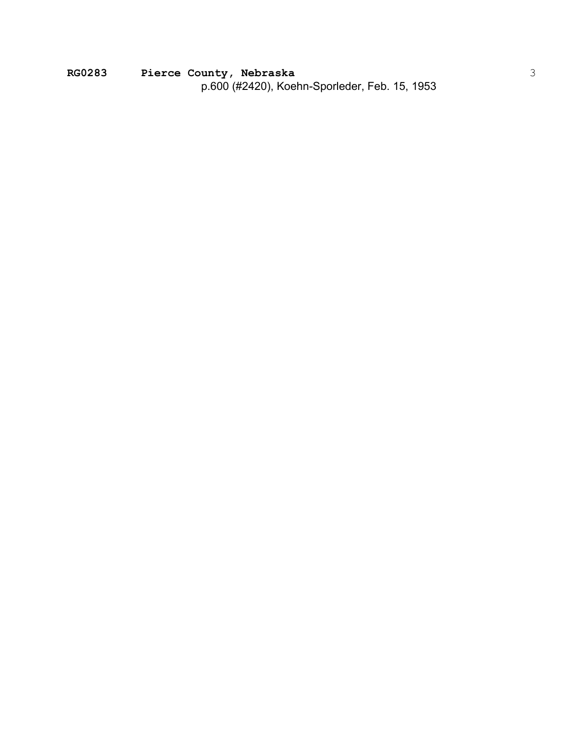**RG0283 Pierce County, Nebraska**  p.600 (#2420), Koehn-Sporleder, Feb. 15, 1953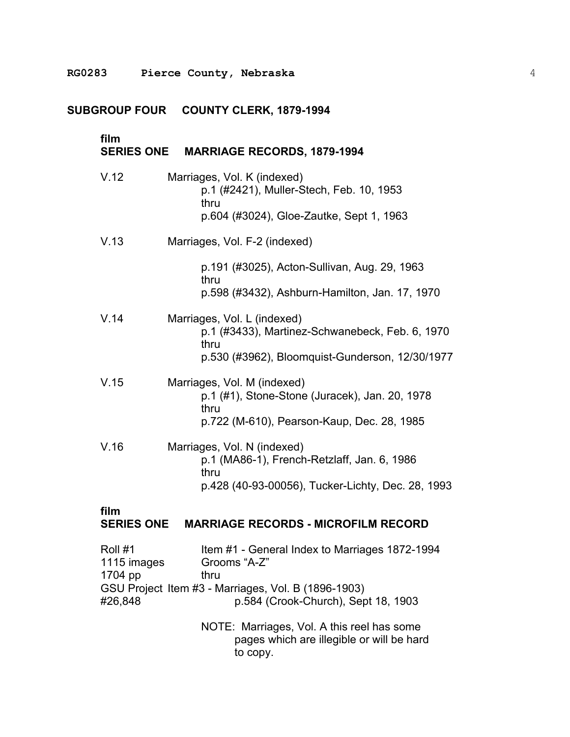# **SUBGROUP FOUR COUNTY CLERK, 1879-1994**

| film<br><b>SERIES ONE</b>                    | <b>MARRIAGE RECORDS, 1879-1994</b>                                                                                                                                                                                                                              |
|----------------------------------------------|-----------------------------------------------------------------------------------------------------------------------------------------------------------------------------------------------------------------------------------------------------------------|
| V.12                                         | Marriages, Vol. K (indexed)<br>p.1 (#2421), Muller-Stech, Feb. 10, 1953<br>thru<br>p.604 (#3024), Gloe-Zautke, Sept 1, 1963                                                                                                                                     |
| V.13                                         | Marriages, Vol. F-2 (indexed)                                                                                                                                                                                                                                   |
|                                              | p.191 (#3025), Acton-Sullivan, Aug. 29, 1963<br>thru<br>p.598 (#3432), Ashburn-Hamilton, Jan. 17, 1970                                                                                                                                                          |
| V.14                                         | Marriages, Vol. L (indexed)<br>p.1 (#3433), Martinez-Schwanebeck, Feb. 6, 1970<br>thru<br>p.530 (#3962), Bloomquist-Gunderson, 12/30/1977                                                                                                                       |
| V.15                                         | Marriages, Vol. M (indexed)<br>p.1 (#1), Stone-Stone (Juracek), Jan. 20, 1978<br>thru<br>p.722 (M-610), Pearson-Kaup, Dec. 28, 1985                                                                                                                             |
| V.16                                         | Marriages, Vol. N (indexed)<br>p.1 (MA86-1), French-Retzlaff, Jan. 6, 1986<br>thru<br>p.428 (40-93-00056), Tucker-Lichty, Dec. 28, 1993                                                                                                                         |
| film<br><b>SERIES ONE</b>                    | <b>MARRIAGE RECORDS - MICROFILM RECORD</b>                                                                                                                                                                                                                      |
| Roll #1<br>1115 images<br>1704 pp<br>#26,848 | Item #1 - General Index to Marriages 1872-1994<br>Grooms "A-Z"<br>thru<br>GSU Project Item #3 - Marriages, Vol. B (1896-1903)<br>p.584 (Crook-Church), Sept 18, 1903<br>NOTE: Marriages, Vol. A this reel has some<br>pages which are illegible or will be hard |

to copy.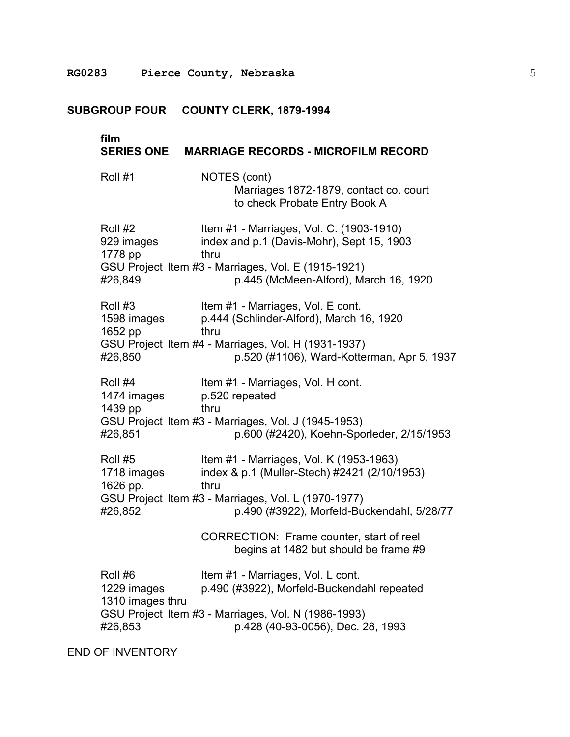## **SUBGROUP FOUR COUNTY CLERK, 1879-1994**

### **film**

### **SERIES ONE MARRIAGE RECORDS - MICROFILM RECORD**

Roll #1 NOTES (cont) Marriages 1872-1879, contact co. court to check Probate Entry Book A

| Roll #2    | Item #1 - Marriages, Vol. C. (1903-1910)            |
|------------|-----------------------------------------------------|
| 929 images | index and p.1 (Davis-Mohr), Sept 15, 1903           |
| 1778 pp    | thru                                                |
|            | GSU Project Item #3 - Marriages, Vol. E (1915-1921) |
| #26,849    | p.445 (McMeen-Alford), March 16, 1920               |

Roll #3 Item #1 - Marriages, Vol. E cont. 1598 images p.444 (Schlinder-Alford), March 16, 1920 1652 pp thru GSU Project Item #4 - Marriages, Vol. H (1931-1937) #26,850 p.520 (#1106), Ward-Kotterman, Apr 5, 1937

Roll #4 Item #1 - Marriages, Vol. H cont. 1474 images p.520 repeated 1439 pp thru GSU Project Item #3 - Marriages, Vol. J (1945-1953) #26,851 p.600 (#2420), Koehn-Sporleder, 2/15/1953

Roll #5 Item #1 - Marriages, Vol. K (1953-1963) 1718 images index & p.1 (Muller-Stech) #2421 (2/10/1953) 1626 pp. thru GSU Project Item #3 - Marriages, Vol. L (1970-1977) #26,852 p.490 (#3922), Morfeld-Buckendahl, 5/28/77

> CORRECTION: Frame counter, start of reel begins at 1482 but should be frame #9

Roll #6 Item #1 - Marriages, Vol. L cont. 1229 images p.490 (#3922), Morfeld-Buckendahl repeated 1310 images thru GSU Project Item #3 - Marriages, Vol. N (1986-1993) #26,853 p.428 (40-93-0056), Dec. 28, 1993

END OF INVENTORY